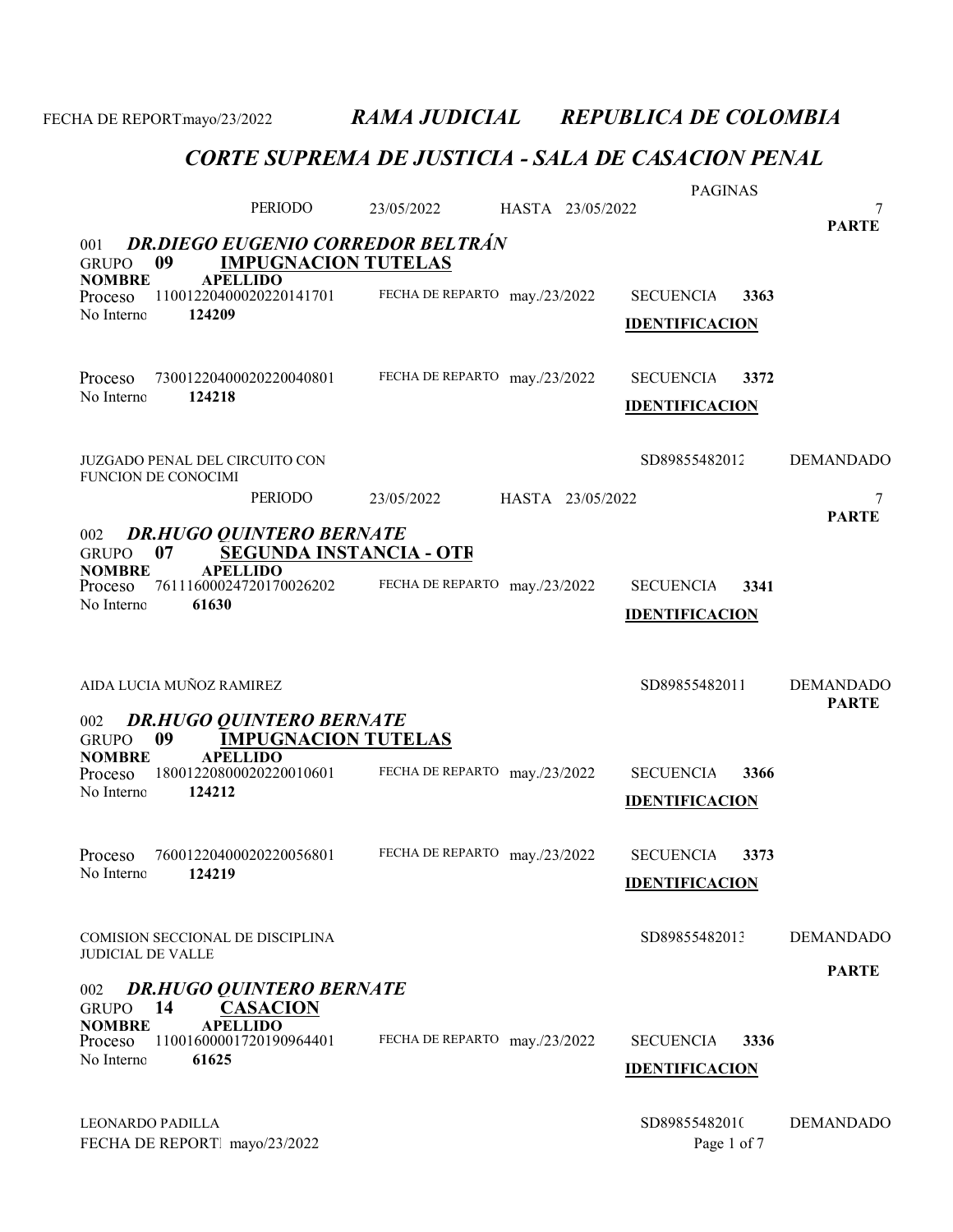# CORTE SUPREMA DE JUSTICIA - SALA DE CASACION PENAL

|                                         |                                                                   |                                          |                  | <b>PAGINAS</b>        |      |                   |
|-----------------------------------------|-------------------------------------------------------------------|------------------------------------------|------------------|-----------------------|------|-------------------|
|                                         | <b>PERIODO</b>                                                    | 23/05/2022                               | HASTA 23/05/2022 |                       |      | 7<br><b>PARTE</b> |
| 001                                     |                                                                   | <b>DR.DIEGO EUGENIO CORREDOR BELTRÁN</b> |                  |                       |      |                   |
| 09<br><b>GRUPO</b><br><b>NOMBRE</b>     | <b>IMPUGNACION TUTELAS</b><br><b>APELLIDO</b>                     |                                          |                  |                       |      |                   |
| Proceso                                 | 11001220400020220141701                                           | FECHA DE REPARTO may./23/2022            |                  | <b>SECUENCIA</b>      | 3363 |                   |
| 124209<br>No Interno                    |                                                                   |                                          |                  | <b>IDENTIFICACION</b> |      |                   |
|                                         |                                                                   |                                          |                  |                       |      |                   |
| Proceso                                 | 73001220400020220040801                                           | FECHA DE REPARTO may./23/2022            |                  | <b>SECUENCIA</b>      | 3372 |                   |
| No Interno<br>124218                    |                                                                   |                                          |                  | <b>IDENTIFICACION</b> |      |                   |
|                                         |                                                                   |                                          |                  |                       |      |                   |
| JUZGADO PENAL DEL CIRCUITO CON          |                                                                   |                                          |                  | SD89855482012         |      | <b>DEMANDADO</b>  |
| <b>FUNCION DE CONOCIMI</b>              | <b>PERIODO</b>                                                    | 23/05/2022                               | HASTA 23/05/2022 |                       |      | 7                 |
|                                         |                                                                   |                                          |                  |                       |      | <b>PARTE</b>      |
| 002<br>07<br><b>GRUPO</b>               | <b>DR.HUGO QUINTERO BERNATE</b><br><b>SEGUNDA INSTANCIA - OTR</b> |                                          |                  |                       |      |                   |
| <b>NOMBRE</b>                           | <b>APELLIDO</b>                                                   |                                          |                  |                       |      |                   |
| Proceso<br>No Interno<br>61630          | 76111600024720170026202                                           | FECHA DE REPARTO may./23/2022            |                  | <b>SECUENCIA</b>      | 3341 |                   |
|                                         |                                                                   |                                          |                  | <b>IDENTIFICACION</b> |      |                   |
|                                         |                                                                   |                                          |                  |                       |      |                   |
| AIDA LUCIA MUÑOZ RAMIREZ                |                                                                   |                                          |                  | SD89855482011         |      | <b>DEMANDADO</b>  |
|                                         |                                                                   |                                          |                  |                       |      | <b>PARTE</b>      |
| 002<br>09<br><b>GRUPO</b>               | <b>DR.HUGO QUINTERO BERNATE</b><br><b>IMPUGNACION TUTELAS</b>     |                                          |                  |                       |      |                   |
| <b>NOMBRE</b>                           | <b>APELLIDO</b><br>18001220800020220010601                        | FECHA DE REPARTO may./23/2022            |                  | <b>SECUENCIA</b>      | 3366 |                   |
| Proceso<br>No Interno<br>124212         |                                                                   |                                          |                  | <b>IDENTIFICACION</b> |      |                   |
|                                         |                                                                   |                                          |                  |                       |      |                   |
| Proceso                                 | 76001220400020220056801                                           | FECHA DE REPARTO may./23/2022            |                  | <b>SECUENCIA</b>      | 3373 |                   |
| No Interno<br>124219                    |                                                                   |                                          |                  | <b>IDENTIFICACION</b> |      |                   |
|                                         |                                                                   |                                          |                  |                       |      |                   |
| <b>COMISION SECCIONAL DE DISCIPLINA</b> |                                                                   |                                          |                  | SD89855482013         |      | <b>DEMANDADO</b>  |
| <b>JUDICIAL DE VALLE</b>                |                                                                   |                                          |                  |                       |      |                   |
| 002                                     | <b>DR.HUGO QUINTERO BERNATE</b>                                   |                                          |                  |                       |      | <b>PARTE</b>      |
| 14<br><b>GRUPO</b>                      | <b>CASACION</b>                                                   |                                          |                  |                       |      |                   |
| <b>NOMBRE</b><br>Proceso                | <b>APELLIDO</b><br>11001600001720190964401                        | FECHA DE REPARTO may./23/2022            |                  | <b>SECUENCIA</b>      | 3336 |                   |
| No Interno<br>61625                     |                                                                   |                                          |                  | <b>IDENTIFICACION</b> |      |                   |
|                                         |                                                                   |                                          |                  |                       |      |                   |
| <b>LEONARDO PADILLA</b>                 |                                                                   |                                          |                  | SD89855482010         |      | <b>DEMANDADO</b>  |

FECHA DE REPORT. mayo/23/2022 Page 1 of 7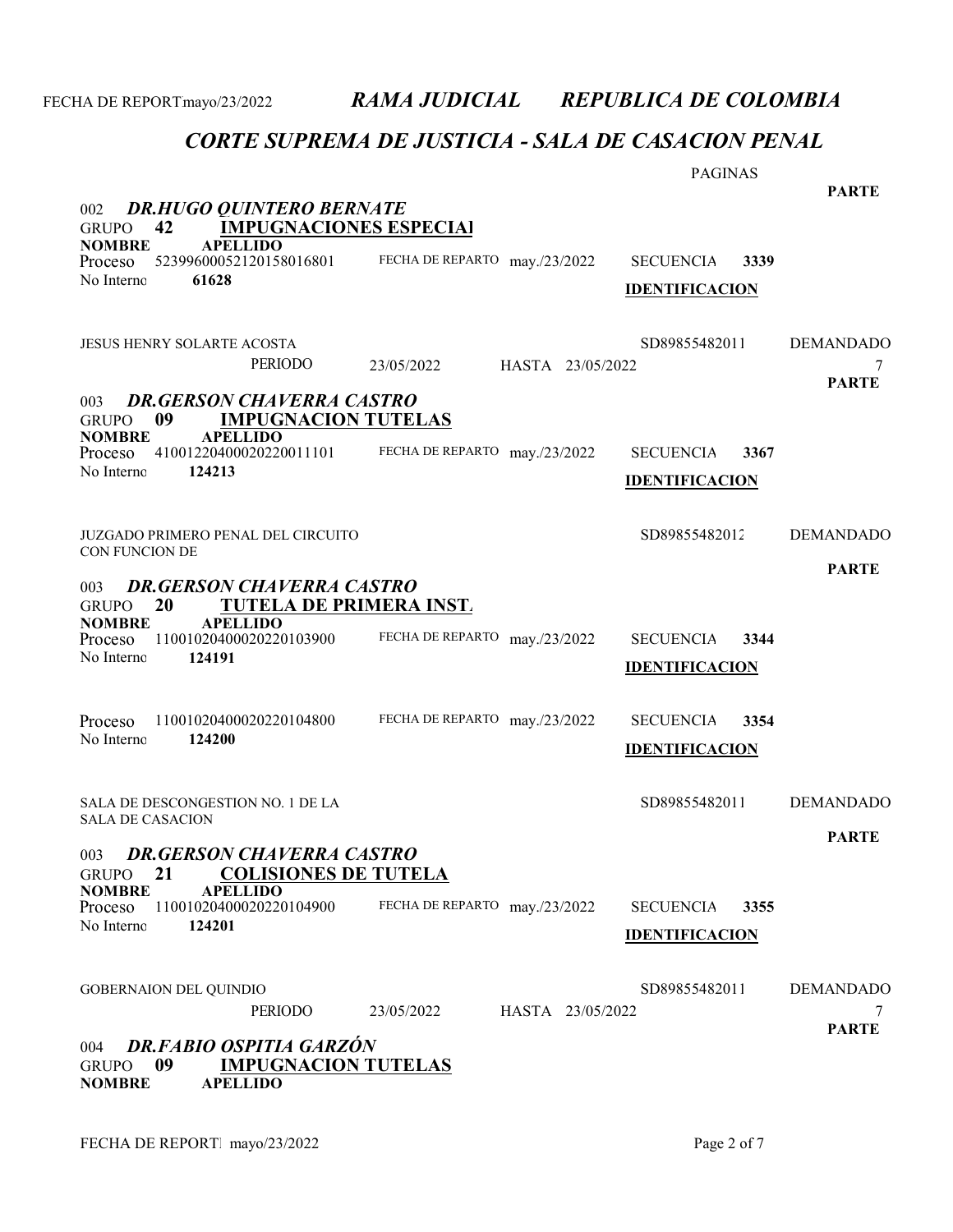### CORTE SUPREMA DE JUSTICIA - SALA DE CASACION PENAL

|                                                                                                 |                                | <b>PAGINAS</b>           |                   |
|-------------------------------------------------------------------------------------------------|--------------------------------|--------------------------|-------------------|
| <b>DR.HUGO QUINTERO BERNATE</b><br>002                                                          |                                |                          | <b>PARTE</b>      |
| <b>IMPUGNACIONES ESPECIAL</b><br>42<br><b>GRUPO</b><br><b>NOMBRE</b><br><b>APELLIDO</b>         |                                |                          |                   |
| 52399600052120158016801<br>Proceso                                                              | FECHA DE REPARTO may./23/2022  | <b>SECUENCIA</b><br>3339 |                   |
| 61628<br>No Interno                                                                             |                                | <b>IDENTIFICACION</b>    |                   |
|                                                                                                 |                                |                          |                   |
| JESUS HENRY SOLARTE ACOSTA                                                                      |                                | SD89855482011            | <b>DEMANDADO</b>  |
| PERIODO                                                                                         | 23/05/2022<br>HASTA 23/05/2022 |                          | 7<br><b>PARTE</b> |
| <b>DR.GERSON CHAVERRA CASTRO</b><br>003                                                         |                                |                          |                   |
| 09<br><b>IMPUGNACION TUTELAS</b><br><b>GRUPO</b><br><b>NOMBRE</b><br><b>APELLIDO</b>            |                                |                          |                   |
| 41001220400020220011101<br>Proceso                                                              | FECHA DE REPARTO may./23/2022  | <b>SECUENCIA</b><br>3367 |                   |
| No Interno<br>124213                                                                            |                                | <b>IDENTIFICACION</b>    |                   |
|                                                                                                 |                                |                          |                   |
| JUZGADO PRIMERO PENAL DEL CIRCUITO                                                              |                                | SD89855482012            | <b>DEMANDADO</b>  |
| CON FUNCION DE                                                                                  |                                |                          | <b>PARTE</b>      |
| <b>DR.GERSON CHAVERRA CASTRO</b><br>003<br>20<br><b>TUTELA DE PRIMERA INST.</b><br><b>GRUPO</b> |                                |                          |                   |
| <b>NOMBRE</b><br><b>APELLIDO</b>                                                                |                                |                          |                   |
| 11001020400020220103900<br>Proceso<br>No Interno<br>124191                                      | FECHA DE REPARTO may./23/2022  | <b>SECUENCIA</b><br>3344 |                   |
|                                                                                                 |                                | <b>IDENTIFICACION</b>    |                   |
| 11001020400020220104800<br>Proceso                                                              | FECHA DE REPARTO may./23/2022  | <b>SECUENCIA</b><br>3354 |                   |
| No Interno<br>124200                                                                            |                                | <b>IDENTIFICACION</b>    |                   |
|                                                                                                 |                                |                          |                   |
| SALA DE DESCONGESTION NO. 1 DE LA                                                               |                                | SD89855482011            | <b>DEMANDADO</b>  |
| <b>SALA DE CASACION</b>                                                                         |                                |                          | <b>PARTE</b>      |
| 003 DR.GERSON CHAVERRA CASTRO                                                                   |                                |                          |                   |
| <b>COLISIONES DE TUTELA</b><br>21<br>GRUPO<br><b>NOMBRE</b><br><b>APELLIDO</b>                  |                                |                          |                   |
| Proceso<br>11001020400020220104900                                                              | FECHA DE REPARTO may./23/2022  | <b>SECUENCIA</b><br>3355 |                   |
| No Interno<br>124201                                                                            |                                | <b>IDENTIFICACION</b>    |                   |
|                                                                                                 |                                |                          |                   |
| GOBERNAION DEL QUINDIO                                                                          |                                | SD89855482011            | <b>DEMANDADO</b>  |
| PERIODO                                                                                         | 23/05/2022<br>HASTA 23/05/2022 |                          | <b>PARTE</b>      |
| <b>DR.FABIO OSPITIA GARZÓN</b><br>004<br>09<br><b>IMPUGNACION TUTELAS</b><br><b>GRUPO</b>       |                                |                          |                   |
| <b>NOMBRE</b><br><b>APELLIDO</b>                                                                |                                |                          |                   |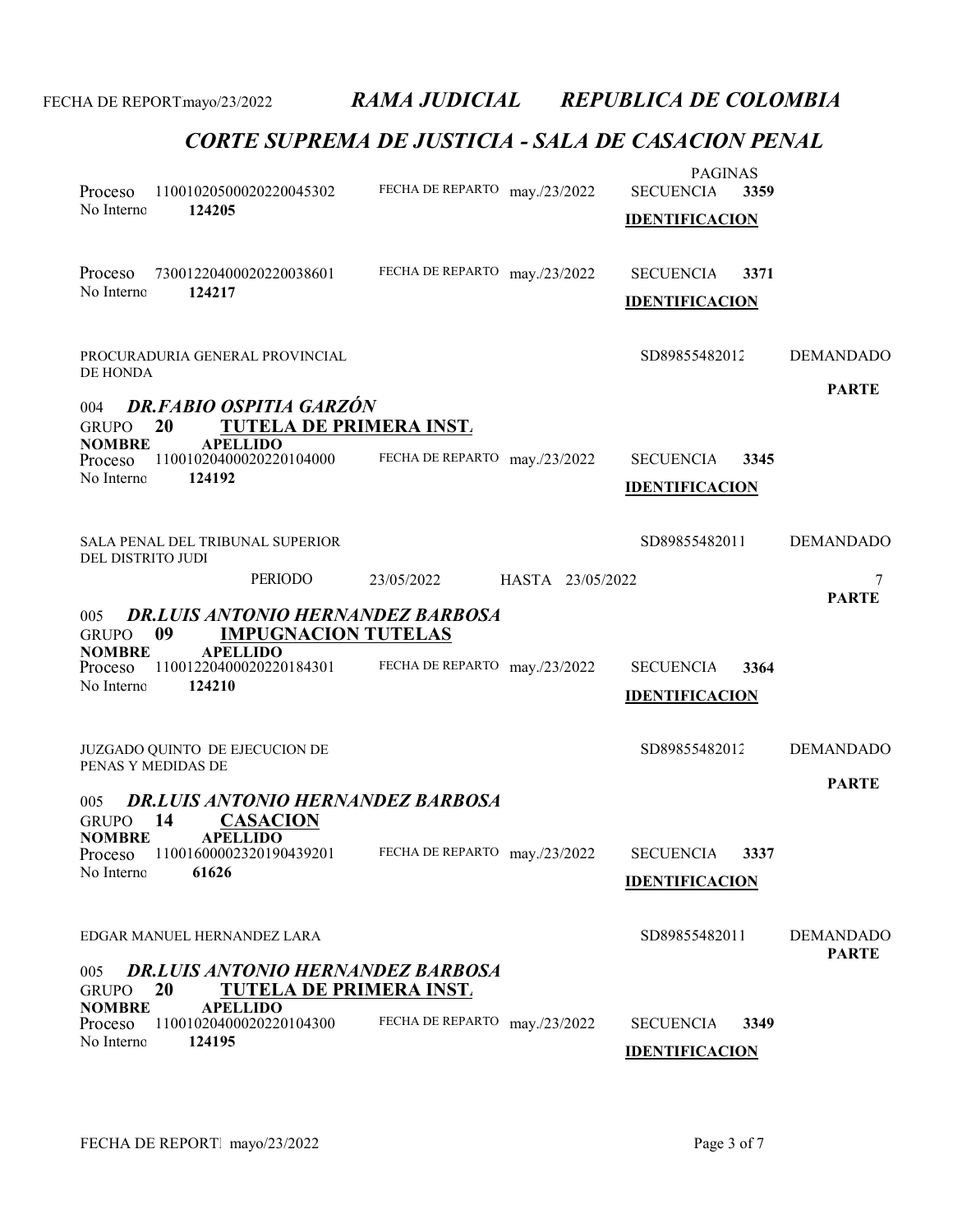# CORTE SUPREMA DE JUSTICIA - SALA DE CASACION PENAL

| 11001020500020220045302<br>Proceso<br>124205<br>No Interno                                                                                                                                                           | FECHA DE REPARTO may./23/2022  | <b>PAGINAS</b><br><b>SECUENCIA</b><br>3359<br><b>IDENTIFICACION</b> |                                  |
|----------------------------------------------------------------------------------------------------------------------------------------------------------------------------------------------------------------------|--------------------------------|---------------------------------------------------------------------|----------------------------------|
| 73001220400020220038601<br>Proceso<br>No Interno<br>124217                                                                                                                                                           | FECHA DE REPARTO may./23/2022  | <b>SECUENCIA</b><br>3371<br><b>IDENTIFICACION</b>                   |                                  |
| PROCURADURIA GENERAL PROVINCIAL<br>DE HONDA                                                                                                                                                                          |                                | SD89855482012                                                       | <b>DEMANDADO</b>                 |
| <b>DR.FABIO OSPITIA GARZÓN</b><br>004<br>TUTELA DE PRIMERA INST.<br>20<br><b>GRUPO</b><br><b>NOMBRE</b><br><b>APELLIDO</b><br>11001020400020220104000<br>Proceso<br>No Interno<br>124192                             | FECHA DE REPARTO may./23/2022  | <b>SECUENCIA</b><br>3345<br><b>IDENTIFICACION</b>                   | <b>PARTE</b>                     |
| SALA PENAL DEL TRIBUNAL SUPERIOR<br>DEL DISTRITO JUDI<br>PERIODO                                                                                                                                                     | 23/05/2022<br>HASTA 23/05/2022 | SD89855482011                                                       | <b>DEMANDADO</b>                 |
| <b>DR.LUIS ANTONIO HERNANDEZ BARBOSA</b><br>005<br>09<br><b>IMPUGNACION TUTELAS</b><br><b>GRUPO</b><br><b>NOMBRE</b><br><b>APELLIDO</b><br>11001220400020220184301<br><b>Proceso</b><br>124210<br>No Interno         | FECHA DE REPARTO may./23/2022  | <b>SECUENCIA</b><br>3364<br><b>IDENTIFICACION</b>                   | <b>PARTE</b>                     |
| JUZGADO QUINTO DE EJECUCION DE<br>PENAS Y MEDIDAS DE                                                                                                                                                                 |                                | SD89855482012                                                       | <b>DEMANDADO</b>                 |
| <b>DR.LUIS ANTONIO HERNANDEZ BARBOSA</b><br>005<br>14<br><b>CASACION</b><br><b>GRUPO</b><br><b>APELLIDO</b><br><b>NOMBRE</b><br>Proceso 11001600002320190439201 FECHA DE REPARTO may./23/2022<br>61626<br>No Interno |                                | <b>SECUENCIA</b><br>3337<br><b>IDENTIFICACION</b>                   | <b>PARTE</b>                     |
| EDGAR MANUEL HERNANDEZ LARA                                                                                                                                                                                          |                                | SD89855482011                                                       | <b>DEMANDADO</b><br><b>PARTE</b> |
| <b>DR.LUIS ANTONIO HERNANDEZ BARBOSA</b><br>005<br>20<br><b>TUTELA DE PRIMERA INST.</b><br><b>GRUPO</b><br><b>NOMBRE</b><br><b>APELLIDO</b><br>11001020400020220104300<br>Proceso<br>No Interno<br>124195            | FECHA DE REPARTO may./23/2022  | <b>SECUENCIA</b><br>3349<br><b>IDENTIFICACION</b>                   |                                  |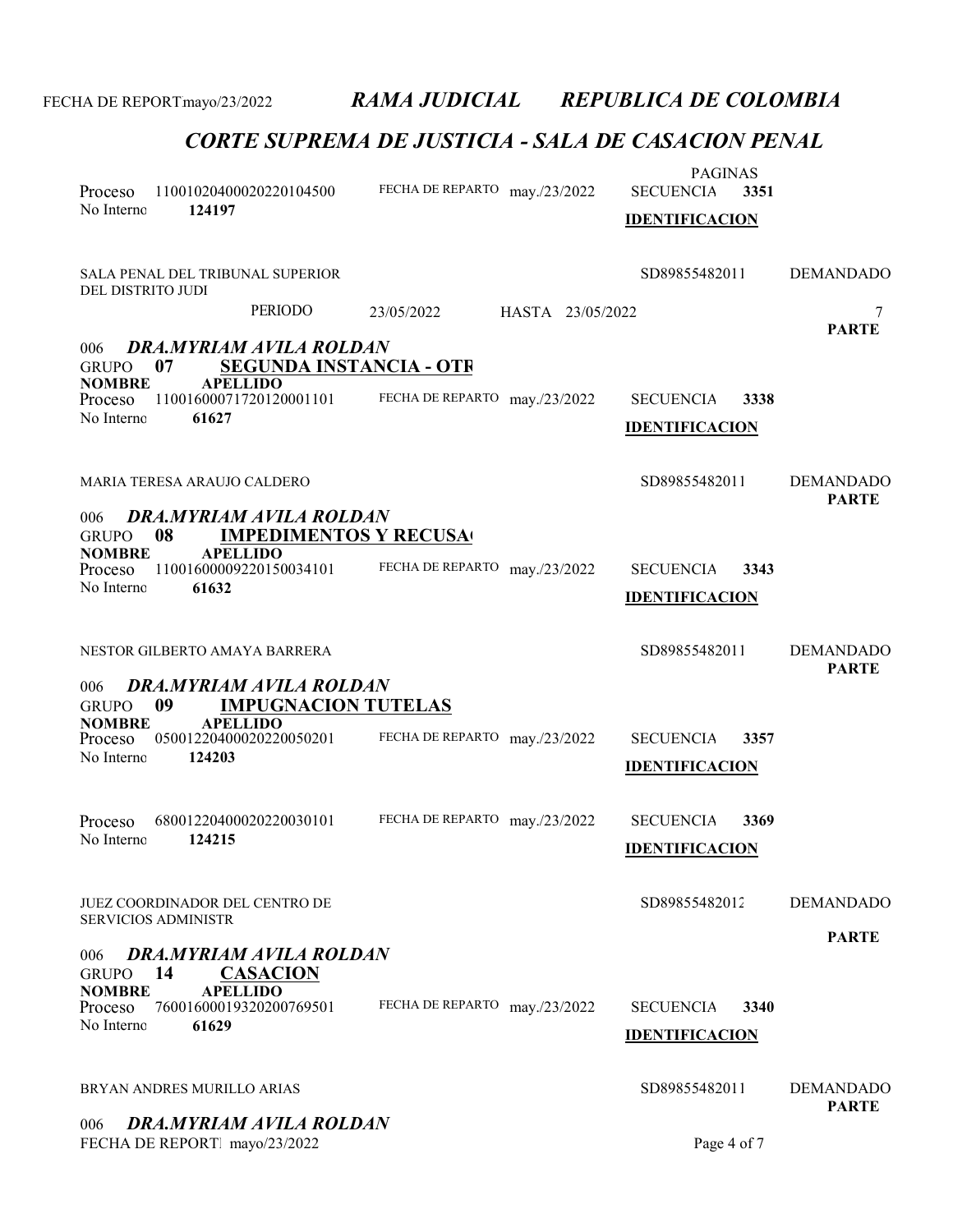# CORTE SUPREMA DE JUSTICIA - SALA DE CASACION PENAL

| Proceso<br>No Interno                           | 124197                                                       | 11001020400020220104500                                                              | FECHA DE REPARTO may./23/2022 |                  | <b>PAGINAS</b><br><b>SECUENCIA</b><br><b>IDENTIFICACION</b> | 3351 |                                  |
|-------------------------------------------------|--------------------------------------------------------------|--------------------------------------------------------------------------------------|-------------------------------|------------------|-------------------------------------------------------------|------|----------------------------------|
| DEL DISTRITO JUDI                               |                                                              | SALA PENAL DEL TRIBUNAL SUPERIOR                                                     |                               |                  | SD89855482011                                               |      | <b>DEMANDADO</b>                 |
|                                                 |                                                              | PERIODO                                                                              | 23/05/2022                    | HASTA 23/05/2022 |                                                             |      | 7                                |
| 006<br><b>GRUPO</b><br><b>NOMBRE</b><br>Proceso | 07<br><b>APELLIDO</b>                                        | DRA.MYRIAM AVILA ROLDAN<br><b>SEGUNDA INSTANCIA - OTR</b><br>11001600071720120001101 | FECHA DE REPARTO may./23/2022 |                  | <b>SECUENCIA</b>                                            | 3338 | <b>PARTE</b>                     |
| No Interno                                      | 61627                                                        |                                                                                      |                               |                  | <b>IDENTIFICACION</b>                                       |      |                                  |
| 006                                             | MARIA TERESA ARAUJO CALDERO                                  | DRA.MYRIAM AVILA ROLDAN                                                              |                               |                  | SD89855482011                                               |      | <b>DEMANDADO</b><br><b>PARTE</b> |
| <b>GRUPO</b>                                    | 08                                                           | <b>IMPEDIMENTOS Y RECUSA</b>                                                         |                               |                  |                                                             |      |                                  |
| <b>NOMBRE</b><br>Proceso                        | <b>APELLIDO</b>                                              | 11001600009220150034101                                                              | FECHA DE REPARTO may./23/2022 |                  | <b>SECUENCIA</b>                                            | 3343 |                                  |
| No Interno                                      | 61632                                                        |                                                                                      |                               |                  | <b>IDENTIFICACION</b>                                       |      |                                  |
| 006                                             | NESTOR GILBERTO AMAYA BARRERA                                | DRA.MYRIAM AVILA ROLDAN                                                              |                               |                  | SD89855482011                                               |      | <b>DEMANDADO</b><br><b>PARTE</b> |
| <b>GRUPO</b><br><b>NOMBRE</b>                   | 09<br><b>APELLIDO</b>                                        | <b>IMPUGNACION TUTELAS</b>                                                           |                               |                  |                                                             |      |                                  |
| Proceso<br>No Interno                           | 124203                                                       | 05001220400020220050201                                                              | FECHA DE REPARTO may./23/2022 |                  | <b>SECUENCIA</b>                                            | 3357 |                                  |
|                                                 |                                                              |                                                                                      |                               |                  | <b>IDENTIFICACION</b>                                       |      |                                  |
| Proceso                                         |                                                              | 68001220400020220030101                                                              | FECHA DE REPARTO may./23/2022 |                  | <b>SECUENCIA</b>                                            | 3369 |                                  |
| No Interno                                      | 124215                                                       |                                                                                      |                               |                  | <b>IDENTIFICACION</b>                                       |      |                                  |
|                                                 | JUEZ COORDINADOR DEL CENTRO DE<br><b>SERVICIOS ADMINISTR</b> |                                                                                      |                               |                  | SD89855482012                                               |      | <b>DEMANDADO</b><br><b>PARTE</b> |
| 006<br><b>GRUPO</b>                             | 14                                                           | <b>DRA.MYRIAM AVILA ROLDAN</b><br><b>CASACION</b>                                    |                               |                  |                                                             |      |                                  |
| <b>NOMBRE</b><br>Proceso                        | <b>APELLIDO</b>                                              | 76001600019320200769501                                                              | FECHA DE REPARTO may./23/2022 |                  | <b>SECUENCIA</b>                                            | 3340 |                                  |
| No Interno                                      | 61629                                                        |                                                                                      |                               |                  | <b>IDENTIFICACION</b>                                       |      |                                  |
| 006                                             | BRYAN ANDRES MURILLO ARIAS                                   | <b>DRA.MYRIAM AVILA ROLDAN</b>                                                       |                               |                  | SD89855482011                                               |      | <b>DEMANDADO</b><br><b>PARTE</b> |
|                                                 |                                                              |                                                                                      |                               |                  |                                                             |      |                                  |

FECHA DE REPORTEM ayo/23/2022 Page 4 of 7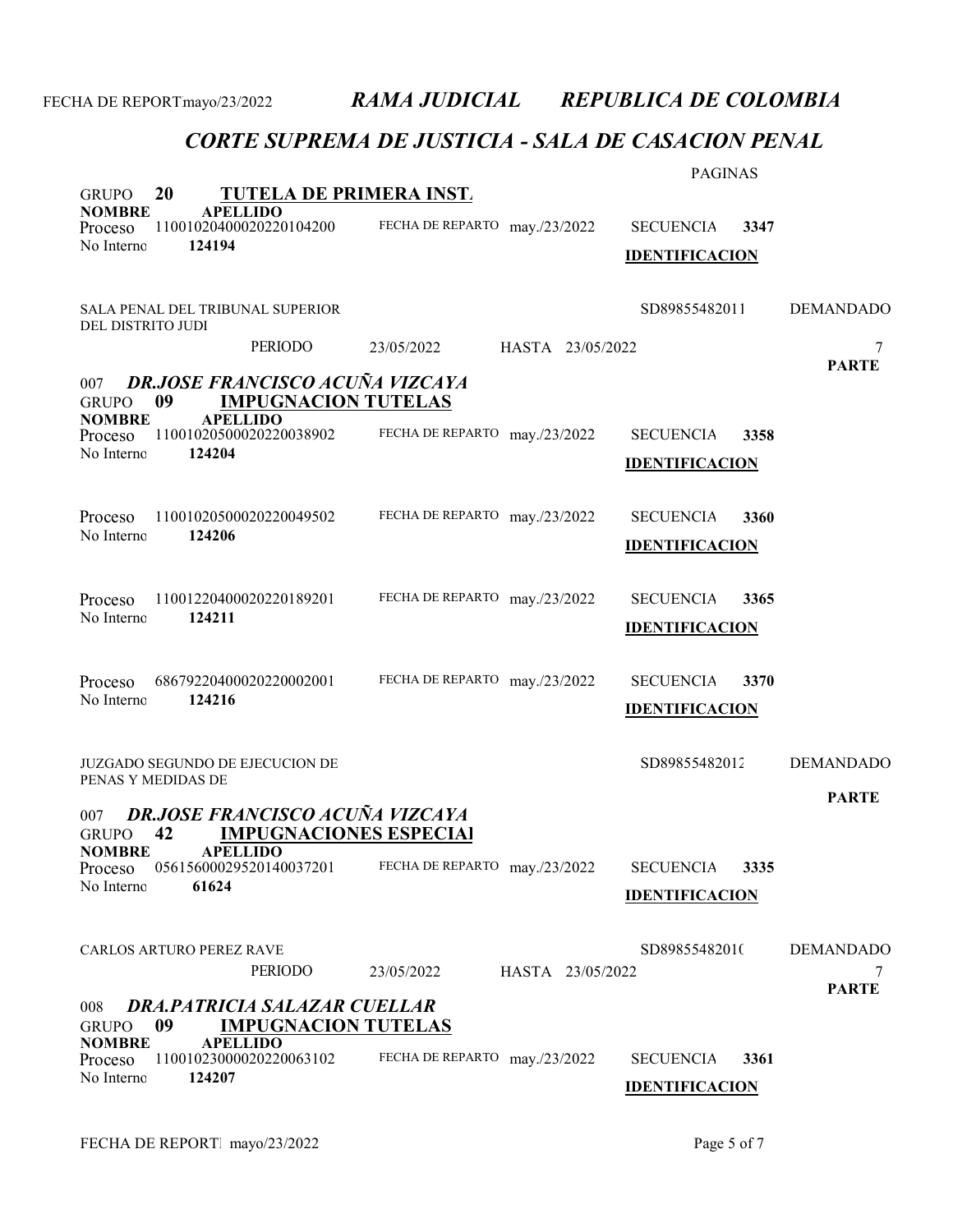### CORTE SUPREMA DE JUSTICIA - SALA DE CASACION PENAL

|                          |                                 |                                                                      | <b>PAGINAS</b>                |                  |                       |      |                  |
|--------------------------|---------------------------------|----------------------------------------------------------------------|-------------------------------|------------------|-----------------------|------|------------------|
| <b>GRUPO</b>             | <b>20</b>                       | <b>TUTELA DE PRIMERA INST.</b>                                       |                               |                  |                       |      |                  |
| <b>NOMBRE</b><br>Proceso | <b>APELLIDO</b>                 | 11001020400020220104200                                              | FECHA DE REPARTO may./23/2022 |                  | <b>SECUENCIA</b>      | 3347 |                  |
| No Interno               | 124194                          |                                                                      |                               |                  | <b>IDENTIFICACION</b> |      |                  |
|                          |                                 |                                                                      |                               |                  |                       |      |                  |
| DEL DISTRITO JUDI        |                                 | SALA PENAL DEL TRIBUNAL SUPERIOR                                     |                               |                  | SD89855482011         |      | <b>DEMANDADO</b> |
|                          |                                 | <b>PERIODO</b>                                                       | 23/05/2022                    | HASTA 23/05/2022 |                       |      | 7                |
|                          |                                 |                                                                      |                               |                  |                       |      | <b>PARTE</b>     |
| 007<br><b>GRUPO</b>      | 09                              | <b>DR.JOSE FRANCISCO ACUÑA VIZCAYA</b><br><b>IMPUGNACION TUTELAS</b> |                               |                  |                       |      |                  |
| <b>NOMBRE</b><br>Proceso | <b>APELLIDO</b>                 | 11001020500020220038902                                              | FECHA DE REPARTO may./23/2022 |                  | <b>SECUENCIA</b>      | 3358 |                  |
| No Interno               | 124204                          |                                                                      |                               |                  |                       |      |                  |
|                          |                                 |                                                                      |                               |                  | <b>IDENTIFICACION</b> |      |                  |
| Proceso                  |                                 | 11001020500020220049502                                              | FECHA DE REPARTO may./23/2022 |                  | <b>SECUENCIA</b>      | 3360 |                  |
| No Interno               | 124206                          |                                                                      |                               |                  | <b>IDENTIFICACION</b> |      |                  |
|                          |                                 |                                                                      |                               |                  |                       |      |                  |
| Proceso                  |                                 | 11001220400020220189201                                              | FECHA DE REPARTO may./23/2022 |                  | <b>SECUENCIA</b>      | 3365 |                  |
| No Interno               | 124211                          |                                                                      |                               |                  | <b>IDENTIFICACION</b> |      |                  |
|                          |                                 |                                                                      |                               |                  |                       |      |                  |
| Proceso                  |                                 | 68679220400020220002001                                              | FECHA DE REPARTO may./23/2022 |                  | <b>SECUENCIA</b>      | 3370 |                  |
| No Interno               | 124216                          |                                                                      |                               |                  | <b>IDENTIFICACION</b> |      |                  |
|                          |                                 |                                                                      |                               |                  |                       |      |                  |
|                          |                                 | <b>JUZGADO SEGUNDO DE EJECUCION DE</b>                               |                               |                  | SD89855482012         |      | <b>DEMANDADO</b> |
|                          | PENAS Y MEDIDAS DE              |                                                                      |                               |                  |                       |      | <b>PARTE</b>     |
| 007                      |                                 | DR.JOSE FRANCISCO ACUÑA VIZCAYA                                      |                               |                  |                       |      |                  |
| <b>GRUPO</b>             | 42                              | <b>IMPUGNACIONES ESPECIAI</b>                                        |                               |                  |                       |      |                  |
| <b>NOMBRE</b><br>Proceso | <b>APELLIDO</b>                 | 05615600029520140037201                                              | FECHA DE REPARTO may./23/2022 |                  | <b>SECUENCIA</b>      | 3335 |                  |
| No Interno               | 61624                           |                                                                      |                               |                  | <b>IDENTIFICACION</b> |      |                  |
|                          |                                 |                                                                      |                               |                  |                       |      |                  |
|                          | <b>CARLOS ARTURO PEREZ RAVE</b> |                                                                      |                               |                  | SD89855482010         |      | <b>DEMANDADO</b> |
|                          |                                 | PERIODO                                                              | 23/05/2022                    | HASTA 23/05/2022 |                       |      |                  |
|                          |                                 |                                                                      |                               |                  |                       |      | <b>PARTE</b>     |
| 008<br><b>GRUPO</b>      | 09                              | DRA.PATRICIA SALAZAR CUELLAR<br><b>IMPUGNACION TUTELAS</b>           |                               |                  |                       |      |                  |
| <b>NOMBRE</b><br>Proceso | <b>APELLIDO</b>                 | 11001023000020220063102                                              | FECHA DE REPARTO may./23/2022 |                  | <b>SECUENCIA</b>      | 3361 |                  |
| No Interno               | 124207                          |                                                                      |                               |                  | <b>IDENTIFICACION</b> |      |                  |
|                          |                                 |                                                                      |                               |                  |                       |      |                  |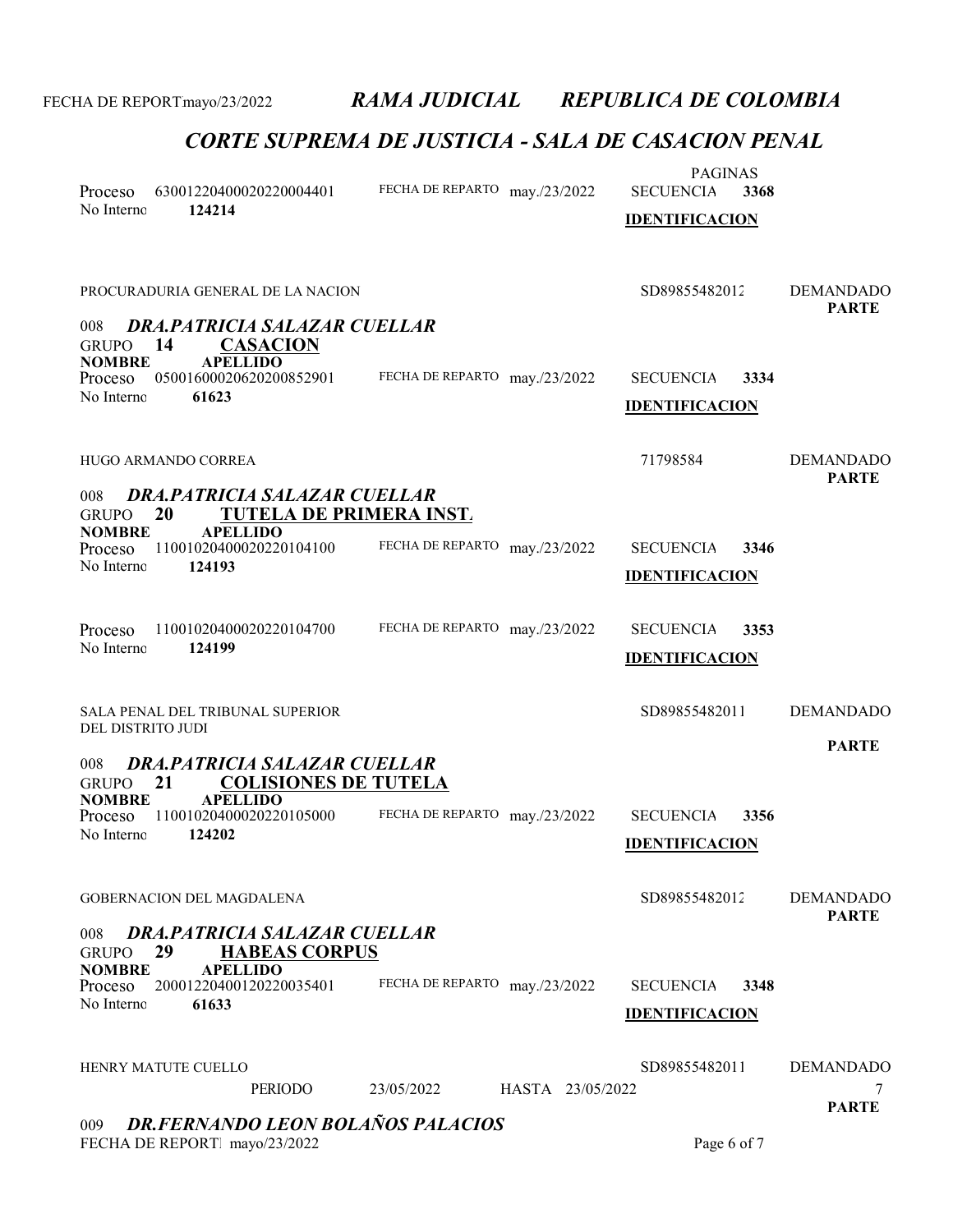### CORTE SUPREMA DE JUSTICIA - SALA DE CASACION PENAL

| 63001220400020220004401<br>Proceso<br>124214<br>No Interno                                                                  |                                                                | FECHA DE REPARTO may./23/2022            |                  | <b>PAGINAS</b><br><b>SECUENCIA</b><br><b>IDENTIFICACION</b> | 3368 |                                  |
|-----------------------------------------------------------------------------------------------------------------------------|----------------------------------------------------------------|------------------------------------------|------------------|-------------------------------------------------------------|------|----------------------------------|
| PROCURADURIA GENERAL DE LA NACION<br>008                                                                                    | DRA.PATRICIA SALAZAR CUELLAR                                   |                                          |                  | SD89855482012                                               |      | <b>DEMANDADO</b><br><b>PARTE</b> |
| <b>GRUPO</b><br>14<br><b>NOMBRE</b><br><b>APELLIDO</b><br>05001600020620200852901<br>Proceso<br>No Interno<br>61623         | <b>CASACION</b>                                                | FECHA DE REPARTO may./23/2022            |                  | <b>SECUENCIA</b><br><b>IDENTIFICACION</b>                   | 3334 |                                  |
| HUGO ARMANDO CORREA                                                                                                         |                                                                |                                          |                  | 71798584                                                    |      | <b>DEMANDADO</b><br><b>PARTE</b> |
| 008<br>20<br><b>GRUPO</b><br><b>NOMBRE</b><br><b>APELLIDO</b><br>11001020400020220104100<br>Proceso<br>No Interno<br>124193 | DRA.PATRICIA SALAZAR CUELLAR<br><b>TUTELA DE PRIMERA INST.</b> | FECHA DE REPARTO may./23/2022            |                  | <b>SECUENCIA</b><br><b>IDENTIFICACION</b>                   | 3346 |                                  |
| 11001020400020220104700<br>Proceso<br>No Interno<br>124199                                                                  |                                                                | FECHA DE REPARTO may./23/2022            |                  | <b>SECUENCIA</b><br><b>IDENTIFICACION</b>                   | 3353 |                                  |
| <b>SALA PENAL DEL TRIBUNAL SUPERIOR</b><br>DEL DISTRITO JUDI                                                                |                                                                |                                          |                  | SD89855482011                                               |      | <b>DEMANDADO</b>                 |
| 008<br>21<br><b>GRUPO</b><br><b>APELLIDO</b><br><b>NOMBRE</b><br>11001020400020220105000<br>Proceso<br>No Interno<br>124202 | DRA.PATRICIA SALAZAR CUELLAR<br><b>COLISIONES DE TUTELA</b>    | FECHA DE REPARTO may./23/2022            |                  | <b>SECUENCIA</b><br><b>IDENTIFICACION</b>                   | 3356 | <b>PARTE</b>                     |
| <b>GOBERNACION DEL MAGDALENA</b>                                                                                            |                                                                |                                          |                  | SD89855482012                                               |      | <b>DEMANDADO</b><br><b>PARTE</b> |
| 008<br>29<br><b>GRUPO</b><br><b>NOMBRE</b><br><b>APELLIDO</b><br>20001220400120220035401<br>Proceso<br>No Interno<br>61633  | <b>DRA.PATRICIA SALAZAR CUELLAR</b><br><b>HABEAS CORPUS</b>    | FECHA DE REPARTO may./23/2022            |                  | <b>SECUENCIA</b><br><b>IDENTIFICACION</b>                   | 3348 |                                  |
| <b>HENRY MATUTE CUELLO</b>                                                                                                  | PERIODO                                                        | 23/05/2022                               | HASTA 23/05/2022 | SD89855482011                                               |      | <b>DEMANDADO</b><br>7            |
| 009                                                                                                                         |                                                                | <b>DR.FERNANDO LEON BOLAÑOS PALACIOS</b> |                  |                                                             |      | <b>PARTE</b>                     |

FECHA DE REPORT. mayo/23/2022 Page 6 of 7